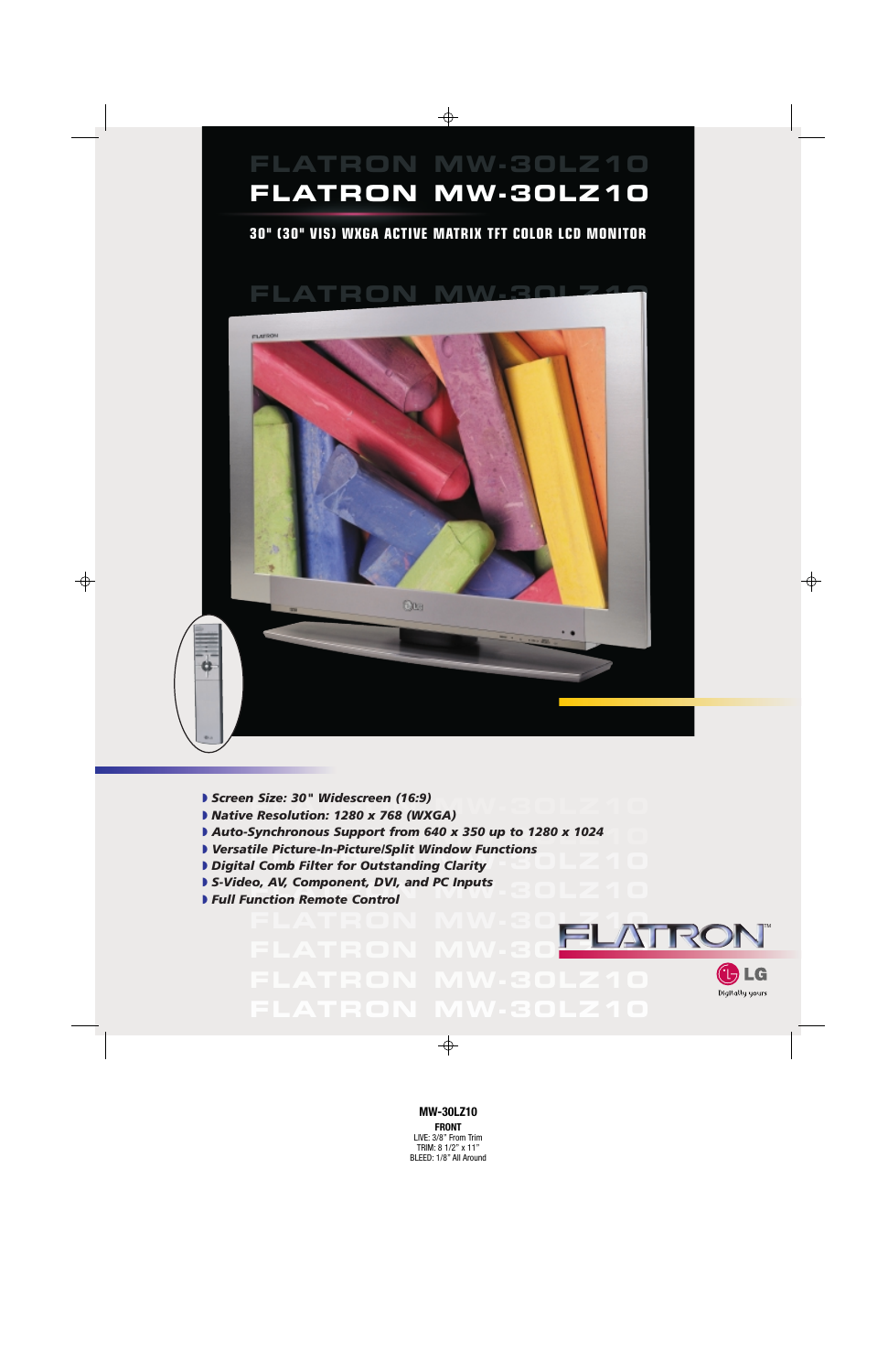

- ◗ *Screen Size: 30" Widescreen (16:9)*
- ▶ Screen Size: *30* ¨ Widescreen (16:9)<br>▶ Native Resolution: 1280 x 768 (WXGA)
- **FLATRON MW-30LZ10** ◗ *Auto-Synchronous Support from 640 x 350 up to 1280 x 1024*
- ◗ *Versatile Picture-In-Picture/Split Window Functions*
- ↑ *FLATRON MITTERS IN TERMINISM TERMINISM TERMINISM OF TERMINISM TERMINISM TERMINISM TERMINISM OF TERMINISM OF TE*
- **▶ S-Video, AV, Component, DVI, and PC Inputs<br>▶ Full Function Remote Control**
- ◗ *Full Function Remote Control*